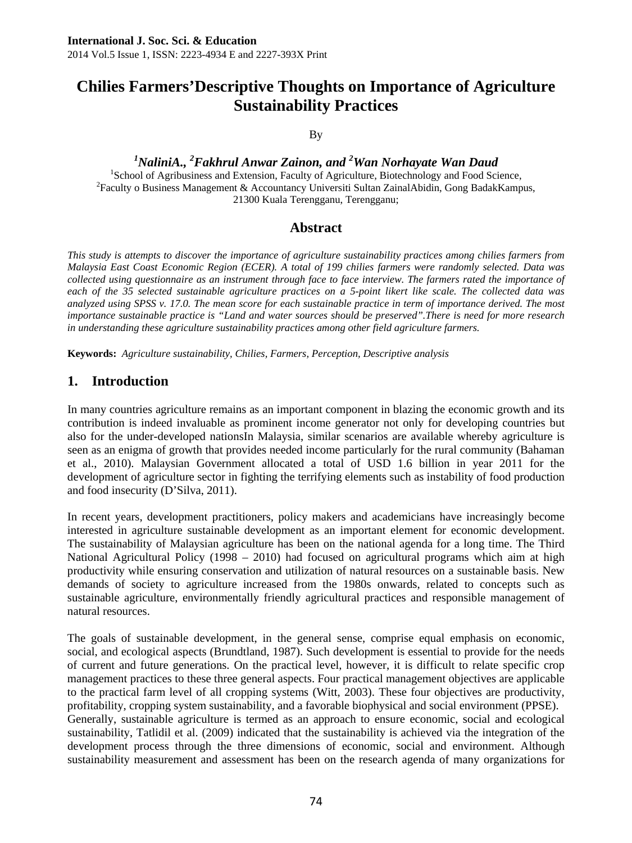# **Chilies Farmers'Descriptive Thoughts on Importance of Agriculture Sustainability Practices**

By

<sup>1</sup>NaliniA., <sup>2</sup>Fakhrul Anwar Zainon, and <sup>2</sup>Wan Norhayate Wan Daud

<sup>1</sup>School of Agribusiness and Extension, Faculty of Agriculture, Biotechnology and Food Science,  ${}^{2}$ Faculty o Business Management & Accountancy Universiti Sultan ZainalAbidin, Gong BadakKampus, 21300 Kuala Terengganu, Terengganu;

### **Abstract**

*This study is attempts to discover the importance of agriculture sustainability practices among chilies farmers from Malaysia East Coast Economic Region (ECER). A total of 199 chilies farmers were randomly selected. Data was collected using questionnaire as an instrument through face to face interview. The farmers rated the importance of each of the 35 selected sustainable agriculture practices on a 5-point likert like scale. The collected data was analyzed using SPSS v. 17.0. The mean score for each sustainable practice in term of importance derived. The most importance sustainable practice is "Land and water sources should be preserved".There is need for more research in understanding these agriculture sustainability practices among other field agriculture farmers.* 

**Keywords:** *Agriculture sustainability, Chilies, Farmers, Perception, Descriptive analysis* 

### **1. Introduction**

In many countries agriculture remains as an important component in blazing the economic growth and its contribution is indeed invaluable as prominent income generator not only for developing countries but also for the under-developed nationsIn Malaysia, similar scenarios are available whereby agriculture is seen as an enigma of growth that provides needed income particularly for the rural community (Bahaman et al., 2010). Malaysian Government allocated a total of USD 1.6 billion in year 2011 for the development of agriculture sector in fighting the terrifying elements such as instability of food production and food insecurity (D'Silva, 2011).

In recent years, development practitioners, policy makers and academicians have increasingly become interested in agriculture sustainable development as an important element for economic development. The sustainability of Malaysian agriculture has been on the national agenda for a long time. The Third National Agricultural Policy (1998 – 2010) had focused on agricultural programs which aim at high productivity while ensuring conservation and utilization of natural resources on a sustainable basis. New demands of society to agriculture increased from the 1980s onwards, related to concepts such as sustainable agriculture, environmentally friendly agricultural practices and responsible management of natural resources.

The goals of sustainable development, in the general sense, comprise equal emphasis on economic, social, and ecological aspects (Brundtland, 1987). Such development is essential to provide for the needs of current and future generations. On the practical level, however, it is difficult to relate specific crop management practices to these three general aspects. Four practical management objectives are applicable to the practical farm level of all cropping systems (Witt, 2003). These four objectives are productivity, profitability, cropping system sustainability, and a favorable biophysical and social environment (PPSE). Generally, sustainable agriculture is termed as an approach to ensure economic, social and ecological sustainability, Tatlidil et al. (2009) indicated that the sustainability is achieved via the integration of the development process through the three dimensions of economic, social and environment. Although sustainability measurement and assessment has been on the research agenda of many organizations for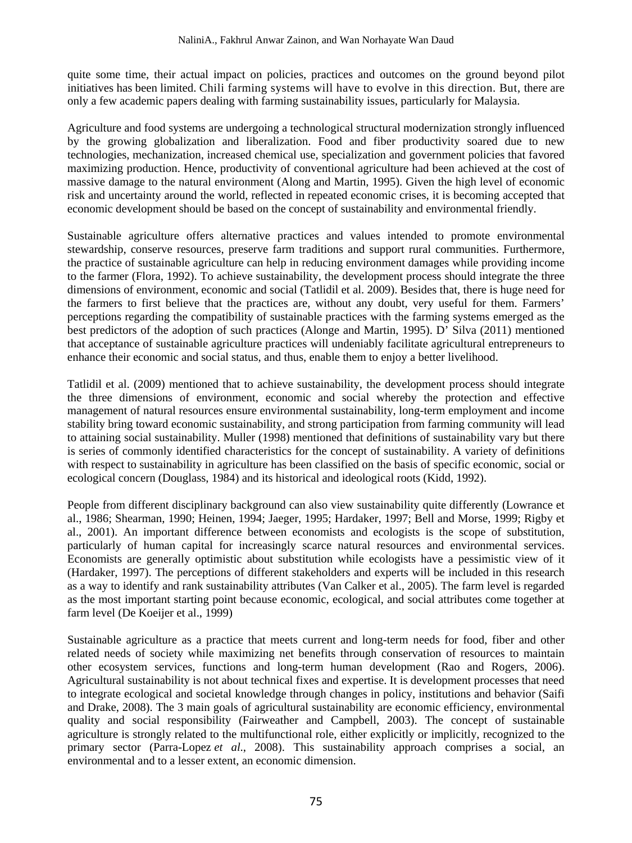quite some time, their actual impact on policies, practices and outcomes on the ground beyond pilot initiatives has been limited. Chili farming systems will have to evolve in this direction. But, there are only a few academic papers dealing with farming sustainability issues, particularly for Malaysia.

Agriculture and food systems are undergoing a technological structural modernization strongly influenced by the growing globalization and liberalization. Food and fiber productivity soared due to new technologies, mechanization, increased chemical use, specialization and government policies that favored maximizing production. Hence, productivity of conventional agriculture had been achieved at the cost of massive damage to the natural environment (Along and Martin, 1995). Given the high level of economic risk and uncertainty around the world, reflected in repeated economic crises, it is becoming accepted that economic development should be based on the concept of sustainability and environmental friendly.

Sustainable agriculture offers alternative practices and values intended to promote environmental stewardship, conserve resources, preserve farm traditions and support rural communities. Furthermore, the practice of sustainable agriculture can help in reducing environment damages while providing income to the farmer (Flora, 1992). To achieve sustainability, the development process should integrate the three dimensions of environment, economic and social (Tatlidil et al. 2009). Besides that, there is huge need for the farmers to first believe that the practices are, without any doubt, very useful for them. Farmers' perceptions regarding the compatibility of sustainable practices with the farming systems emerged as the best predictors of the adoption of such practices (Alonge and Martin, 1995). D' Silva (2011) mentioned that acceptance of sustainable agriculture practices will undeniably facilitate agricultural entrepreneurs to enhance their economic and social status, and thus, enable them to enjoy a better livelihood.

Tatlidil et al. (2009) mentioned that to achieve sustainability, the development process should integrate the three dimensions of environment, economic and social whereby the protection and effective management of natural resources ensure environmental sustainability, long-term employment and income stability bring toward economic sustainability, and strong participation from farming community will lead to attaining social sustainability. Muller (1998) mentioned that definitions of sustainability vary but there is series of commonly identified characteristics for the concept of sustainability. A variety of definitions with respect to sustainability in agriculture has been classified on the basis of specific economic, social or ecological concern (Douglass, 1984) and its historical and ideological roots (Kidd, 1992).

People from different disciplinary background can also view sustainability quite differently (Lowrance et al., 1986; Shearman, 1990; Heinen, 1994; Jaeger, 1995; Hardaker, 1997; Bell and Morse, 1999; Rigby et al., 2001). An important difference between economists and ecologists is the scope of substitution, particularly of human capital for increasingly scarce natural resources and environmental services. Economists are generally optimistic about substitution while ecologists have a pessimistic view of it (Hardaker, 1997). The perceptions of different stakeholders and experts will be included in this research as a way to identify and rank sustainability attributes (Van Calker et al., 2005). The farm level is regarded as the most important starting point because economic, ecological, and social attributes come together at farm level (De Koeijer et al., 1999)

Sustainable agriculture as a practice that meets current and long-term needs for food, fiber and other related needs of society while maximizing net benefits through conservation of resources to maintain other ecosystem services, functions and long-term human development (Rao and Rogers, 2006). Agricultural sustainability is not about technical fixes and expertise. It is development processes that need to integrate ecological and societal knowledge through changes in policy, institutions and behavior (Saifi and Drake, 2008). The 3 main goals of agricultural sustainability are economic efficiency, environmental quality and social responsibility (Fairweather and Campbell, 2003). The concept of sustainable agriculture is strongly related to the multifunctional role, either explicitly or implicitly, recognized to the primary sector (Parra-Lopez *et al*., 2008). This sustainability approach comprises a social, an environmental and to a lesser extent, an economic dimension.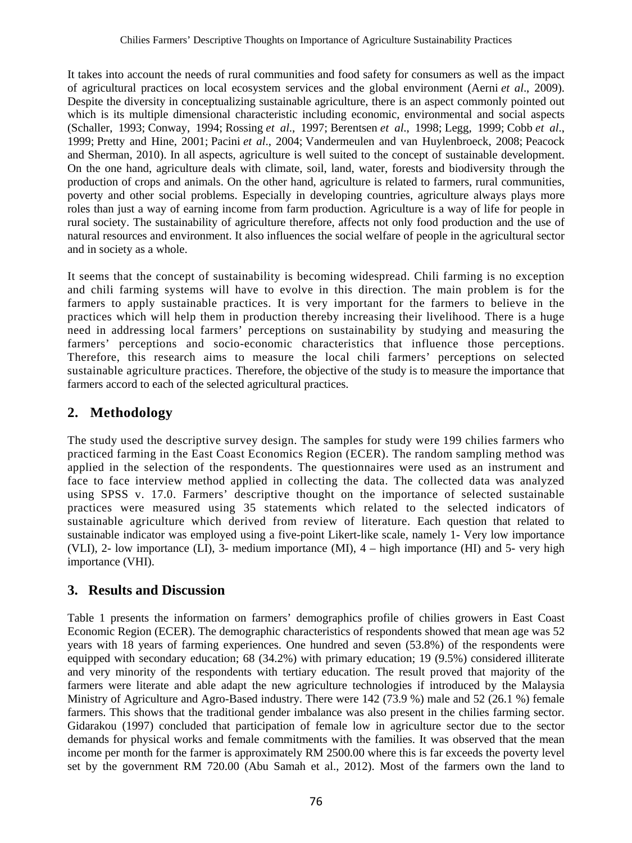It takes into account the needs of rural communities and food safety for consumers as well as the impact of agricultural practices on local ecosystem services and the global environment (Aerni *et al*., 2009). Despite the diversity in conceptualizing sustainable agriculture, there is an aspect commonly pointed out which is its multiple dimensional characteristic including economic, environmental and social aspects (Schaller, 1993; Conway, 1994; Rossing *et al*., 1997; Berentsen *et al*., 1998; Legg, 1999; Cobb *et al*., 1999; Pretty and Hine, 2001; Pacini *et al*., 2004; Vandermeulen and van Huylenbroeck, 2008; Peacock and Sherman, 2010). In all aspects, agriculture is well suited to the concept of sustainable development. On the one hand, agriculture deals with climate, soil, land, water, forests and biodiversity through the production of crops and animals. On the other hand, agriculture is related to farmers, rural communities, poverty and other social problems. Especially in developing countries, agriculture always plays more roles than just a way of earning income from farm production. Agriculture is a way of life for people in rural society. The sustainability of agriculture therefore, affects not only food production and the use of natural resources and environment. It also influences the social welfare of people in the agricultural sector and in society as a whole.

It seems that the concept of sustainability is becoming widespread. Chili farming is no exception and chili farming systems will have to evolve in this direction. The main problem is for the farmers to apply sustainable practices. It is very important for the farmers to believe in the practices which will help them in production thereby increasing their livelihood. There is a huge need in addressing local farmers' perceptions on sustainability by studying and measuring the farmers' perceptions and socio-economic characteristics that influence those perceptions. Therefore, this research aims to measure the local chili farmers' perceptions on selected sustainable agriculture practices. Therefore, the objective of the study is to measure the importance that farmers accord to each of the selected agricultural practices.

## **2. Methodology**

The study used the descriptive survey design. The samples for study were 199 chilies farmers who practiced farming in the East Coast Economics Region (ECER). The random sampling method was applied in the selection of the respondents. The questionnaires were used as an instrument and face to face interview method applied in collecting the data. The collected data was analyzed using SPSS v. 17.0. Farmers' descriptive thought on the importance of selected sustainable practices were measured using 35 statements which related to the selected indicators of sustainable agriculture which derived from review of literature. Each question that related to sustainable indicator was employed using a five-point Likert-like scale, namely 1- Very low importance (VLI), 2- low importance (LI), 3- medium importance (MI), 4 – high importance (HI) and 5- very high importance (VHI).

### **3. Results and Discussion**

Table 1 presents the information on farmers' demographics profile of chilies growers in East Coast Economic Region (ECER). The demographic characteristics of respondents showed that mean age was 52 years with 18 years of farming experiences. One hundred and seven (53.8%) of the respondents were equipped with secondary education; 68 (34.2%) with primary education; 19 (9.5%) considered illiterate and very minority of the respondents with tertiary education. The result proved that majority of the farmers were literate and able adapt the new agriculture technologies if introduced by the Malaysia Ministry of Agriculture and Agro-Based industry. There were 142 (73.9 %) male and 52 (26.1 %) female farmers. This shows that the traditional gender imbalance was also present in the chilies farming sector. Gidarakou (1997) concluded that participation of female low in agriculture sector due to the sector demands for physical works and female commitments with the families. It was observed that the mean income per month for the farmer is approximately RM 2500.00 where this is far exceeds the poverty level set by the government RM 720.00 (Abu Samah et al., 2012). Most of the farmers own the land to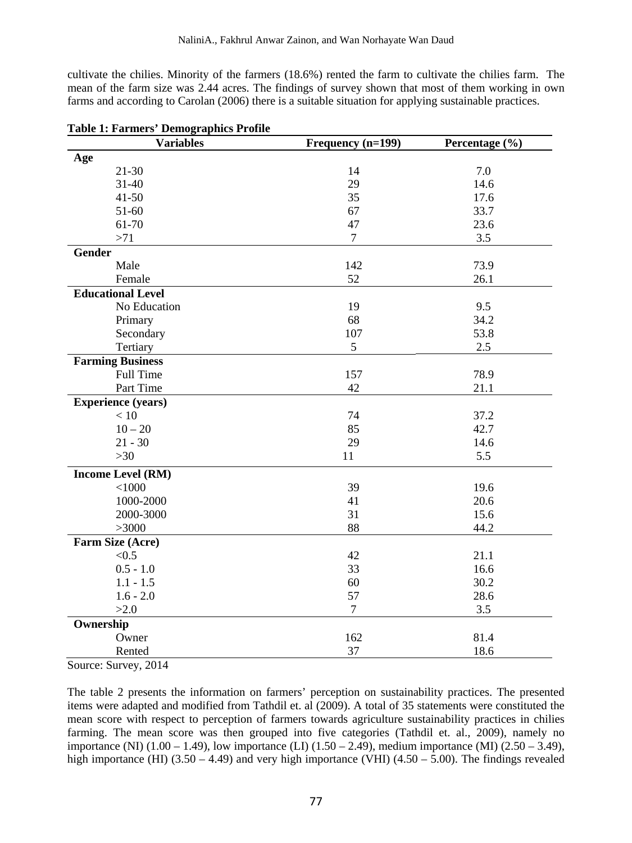cultivate the chilies. Minority of the farmers (18.6%) rented the farm to cultivate the chilies farm. The mean of the farm size was 2.44 acres. The findings of survey shown that most of them working in own farms and according to Carolan (2006) there is a suitable situation for applying sustainable practices.

| <b>Variables</b>          | Frequency (n=199) | Percentage (%) |
|---------------------------|-------------------|----------------|
| Age                       |                   |                |
| $21 - 30$                 | 14                | 7.0            |
| $31 - 40$                 | 29                | 14.6           |
| $41 - 50$                 | 35                | 17.6           |
| 51-60                     | 67                | 33.7           |
| 61-70                     | 47                | 23.6           |
| >71                       | $\boldsymbol{7}$  | 3.5            |
| Gender                    |                   |                |
| Male                      | 142               | 73.9           |
| Female                    | 52                | 26.1           |
| <b>Educational Level</b>  |                   |                |
| No Education              | 19                | 9.5            |
| Primary                   | 68                | 34.2           |
| Secondary                 | 107               | 53.8           |
| Tertiary                  | 5                 | 2.5            |
| <b>Farming Business</b>   |                   |                |
| Full Time                 | 157               | 78.9           |
| Part Time                 | 42                | 21.1           |
| <b>Experience (years)</b> |                   |                |
| $<10$                     | 74                | 37.2           |
| $10 - 20$                 | 85                | 42.7           |
| $21 - 30$                 | 29                | 14.6           |
| $>30$                     | 11                | 5.5            |
| <b>Income Level (RM)</b>  |                   |                |
| < 1000                    | 39                | 19.6           |
| 1000-2000                 | 41                | 20.6           |
| 2000-3000                 | 31                | 15.6           |
| >3000                     | 88                | 44.2           |
| Farm Size (Acre)          |                   |                |
| < 0.5                     | 42                | 21.1           |
| $0.5 - 1.0$               | 33                | 16.6           |
| $1.1 - 1.5$               | 60                | 30.2           |
| $1.6 - 2.0$               | 57                | 28.6           |
| >2.0                      | $\boldsymbol{7}$  | 3.5            |
| Ownership                 |                   |                |
| Owner                     | 162               | 81.4           |
| Rented                    | 37                | 18.6           |

| <b>Table 1: Farmers' Demographics Profile</b> |  |  |
|-----------------------------------------------|--|--|
|-----------------------------------------------|--|--|

Source: Survey, 2014

The table 2 presents the information on farmers' perception on sustainability practices. The presented items were adapted and modified from Tathdil et. al (2009). A total of 35 statements were constituted the mean score with respect to perception of farmers towards agriculture sustainability practices in chilies farming. The mean score was then grouped into five categories (Tathdil et. al., 2009), namely no importance (NI) (1.00 – 1.49), low importance (LI) (1.50 – 2.49), medium importance (MI) (2.50 – 3.49), high importance (HI)  $(3.50 - 4.49)$  and very high importance (VHI)  $(4.50 - 5.00)$ . The findings revealed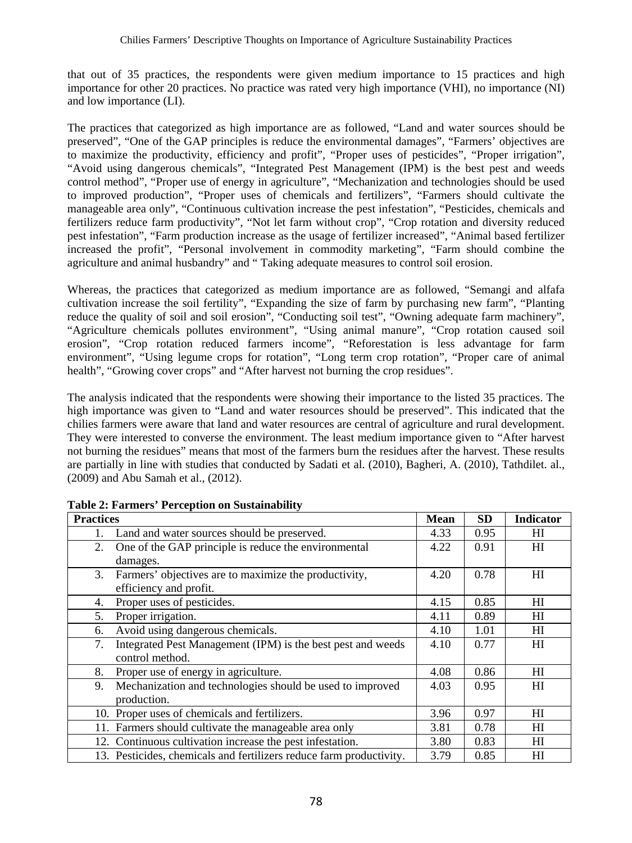that out of 35 practices, the respondents were given medium importance to 15 practices and high importance for other 20 practices. No practice was rated very high importance (VHI), no importance (NI) and low importance (LI).

The practices that categorized as high importance are as followed, "Land and water sources should be preserved", "One of the GAP principles is reduce the environmental damages", "Farmers' objectives are to maximize the productivity, efficiency and profit", "Proper uses of pesticides", "Proper irrigation", "Avoid using dangerous chemicals", "Integrated Pest Management (IPM) is the best pest and weeds control method", "Proper use of energy in agriculture", "Mechanization and technologies should be used to improved production", "Proper uses of chemicals and fertilizers", "Farmers should cultivate the manageable area only", "Continuous cultivation increase the pest infestation", "Pesticides, chemicals and fertilizers reduce farm productivity", "Not let farm without crop", "Crop rotation and diversity reduced pest infestation", "Farm production increase as the usage of fertilizer increased", "Animal based fertilizer increased the profit", "Personal involvement in commodity marketing", "Farm should combine the agriculture and animal husbandry" and " Taking adequate measures to control soil erosion.

Whereas, the practices that categorized as medium importance are as followed, "Semangi and alfafa cultivation increase the soil fertility", "Expanding the size of farm by purchasing new farm", "Planting reduce the quality of soil and soil erosion", "Conducting soil test", "Owning adequate farm machinery", "Agriculture chemicals pollutes environment", "Using animal manure", "Crop rotation caused soil erosion", "Crop rotation reduced farmers income", "Reforestation is less advantage for farm environment", "Using legume crops for rotation", "Long term crop rotation", "Proper care of animal health", "Growing cover crops" and "After harvest not burning the crop residues".

The analysis indicated that the respondents were showing their importance to the listed 35 practices. The high importance was given to "Land and water resources should be preserved". This indicated that the chilies farmers were aware that land and water resources are central of agriculture and rural development. They were interested to converse the environment. The least medium importance given to "After harvest not burning the residues" means that most of the farmers burn the residues after the harvest. These results are partially in line with studies that conducted by Sadati et al. (2010), Bagheri, A. (2010), Tathdilet. al., (2009) and Abu Samah et al., (2012).

| <b>Practices</b> |                                                                     | <b>Mean</b> | <b>SD</b> | <b>Indicator</b> |
|------------------|---------------------------------------------------------------------|-------------|-----------|------------------|
|                  | Land and water sources should be preserved.                         | 4.33        | 0.95      | HI               |
| 2.               | One of the GAP principle is reduce the environmental                | 4.22        | 0.91      | HI               |
|                  | damages.                                                            |             |           |                  |
| 3.               | Farmers' objectives are to maximize the productivity,               | 4.20        | 0.78      | H                |
|                  | efficiency and profit.                                              |             |           |                  |
| 4.               | Proper uses of pesticides.                                          | 4.15        | 0.85      | H                |
| 5.               | Proper irrigation.                                                  | 4.11        | 0.89      | H                |
| 6.               | Avoid using dangerous chemicals.                                    | 4.10        | 1.01      | HI               |
| 7.               | Integrated Pest Management (IPM) is the best pest and weeds         | 4.10        | 0.77      | HI               |
|                  | control method.                                                     |             |           |                  |
| 8.               | Proper use of energy in agriculture.                                | 4.08        | 0.86      | HI               |
| 9.               | Mechanization and technologies should be used to improved           | 4.03        | 0.95      | HI               |
|                  | production.                                                         |             |           |                  |
|                  | 10. Proper uses of chemicals and fertilizers.                       | 3.96        | 0.97      | HI               |
|                  | 11. Farmers should cultivate the manageable area only               | 3.81        | 0.78      | HI               |
|                  | 12. Continuous cultivation increase the pest infestation.           | 3.80        | 0.83      | HI               |
|                  | 13. Pesticides, chemicals and fertilizers reduce farm productivity. | 3.79        | 0.85      | HI               |

**Table 2: Farmers' Perception on Sustainability**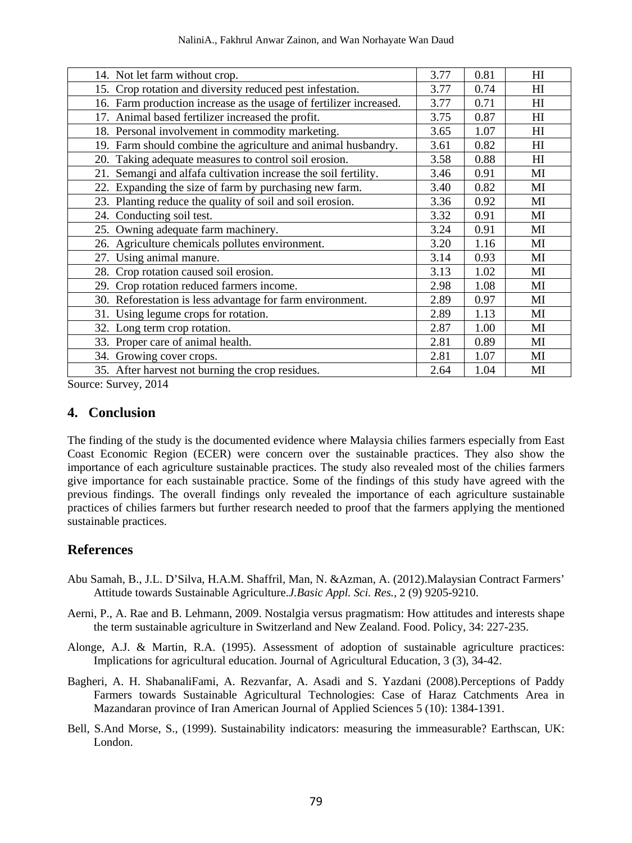| 14. Not let farm without crop.                                     | 3.77 | 0.81 | HI             |
|--------------------------------------------------------------------|------|------|----------------|
| 15. Crop rotation and diversity reduced pest infestation.          | 3.77 | 0.74 | H              |
| 16. Farm production increase as the usage of fertilizer increased. | 3.77 | 0.71 | HI             |
| 17. Animal based fertilizer increased the profit.                  | 3.75 | 0.87 | H              |
| 18. Personal involvement in commodity marketing.                   | 3.65 | 1.07 | H              |
| 19. Farm should combine the agriculture and animal husbandry.      | 3.61 | 0.82 | H <sub>I</sub> |
| 20. Taking adequate measures to control soil erosion.              | 3.58 | 0.88 | H              |
| 21. Semangi and alfafa cultivation increase the soil fertility.    | 3.46 | 0.91 | MI             |
| 22. Expanding the size of farm by purchasing new farm.             | 3.40 | 0.82 | MI             |
| 23. Planting reduce the quality of soil and soil erosion.          | 3.36 | 0.92 | MI             |
| 24. Conducting soil test.                                          | 3.32 | 0.91 | MI             |
| 25. Owning adequate farm machinery.                                | 3.24 | 0.91 | MI             |
| 26. Agriculture chemicals pollutes environment.                    | 3.20 | 1.16 | MI             |
| 27. Using animal manure.                                           | 3.14 | 0.93 | MI             |
| 28. Crop rotation caused soil erosion.                             | 3.13 | 1.02 | MI             |
| 29. Crop rotation reduced farmers income.                          | 2.98 | 1.08 | MI             |
| 30. Reforestation is less advantage for farm environment.          | 2.89 | 0.97 | MI             |
| 31. Using legume crops for rotation.                               | 2.89 | 1.13 | MI             |
| 32. Long term crop rotation.                                       | 2.87 | 1.00 | MI             |
| 33. Proper care of animal health.                                  | 2.81 | 0.89 | MI             |
| 34. Growing cover crops.                                           | 2.81 | 1.07 | MI             |
| 35. After harvest not burning the crop residues.                   | 2.64 | 1.04 | MI             |

Source: Survey, 2014

#### **4. Conclusion**

The finding of the study is the documented evidence where Malaysia chilies farmers especially from East Coast Economic Region (ECER) were concern over the sustainable practices. They also show the importance of each agriculture sustainable practices. The study also revealed most of the chilies farmers give importance for each sustainable practice. Some of the findings of this study have agreed with the previous findings. The overall findings only revealed the importance of each agriculture sustainable practices of chilies farmers but further research needed to proof that the farmers applying the mentioned sustainable practices.

### **References**

- Abu Samah, B., J.L. D'Silva, H.A.M. Shaffril, Man, N. &Azman, A. (2012).Malaysian Contract Farmers' Attitude towards Sustainable Agriculture.*J.Basic Appl. Sci. Res.,* 2 (9) 9205-9210.
- Aerni, P., A. Rae and B. Lehmann, 2009. Nostalgia versus pragmatism: How attitudes and interests shape the term sustainable agriculture in Switzerland and New Zealand. Food. Policy, 34: 227-235.
- Alonge, A.J. & Martin, R.A. (1995). Assessment of adoption of sustainable agriculture practices: Implications for agricultural education. Journal of Agricultural Education, 3 (3), 34-42.
- Bagheri, A. H. ShabanaliFami, A. Rezvanfar, A. Asadi and S. Yazdani (2008).Perceptions of Paddy Farmers towards Sustainable Agricultural Technologies: Case of Haraz Catchments Area in Mazandaran province of Iran American Journal of Applied Sciences 5 (10): 1384-1391.
- Bell, S.And Morse, S., (1999). Sustainability indicators: measuring the immeasurable? Earthscan, UK: London.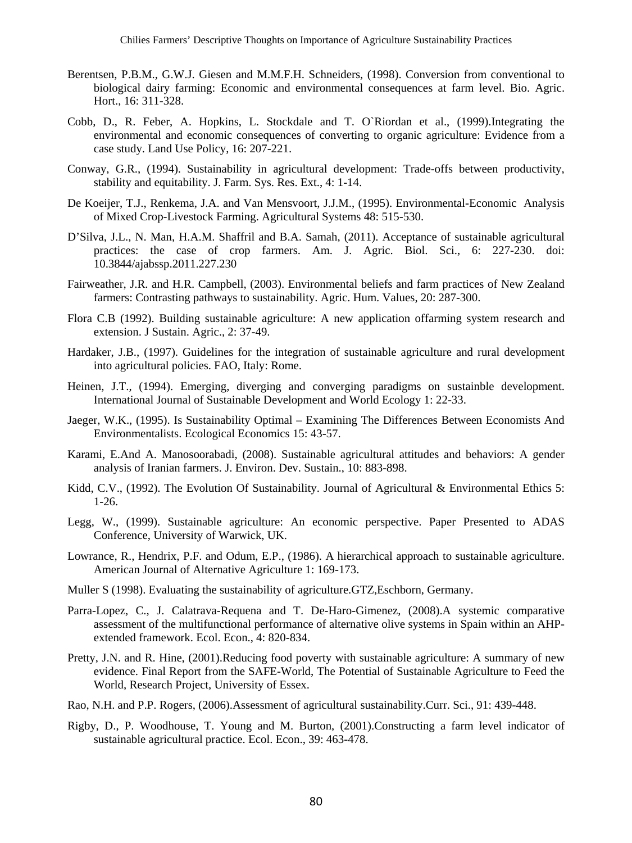- Berentsen, P.B.M., G.W.J. Giesen and M.M.F.H. Schneiders, (1998). Conversion from conventional to biological dairy farming: Economic and environmental consequences at farm level. Bio. Agric. Hort., 16: 311-328.
- Cobb, D., R. Feber, A. Hopkins, L. Stockdale and T. O`Riordan et al., (1999).Integrating the environmental and economic consequences of converting to organic agriculture: Evidence from a case study. Land Use Policy, 16: 207-221.
- Conway, G.R., (1994). Sustainability in agricultural development: Trade-offs between productivity, stability and equitability. J. Farm. Sys. Res. Ext., 4: 1-14.
- De Koeijer, T.J., Renkema, J.A. and Van Mensvoort, J.J.M., (1995). Environmental-Economic Analysis of Mixed Crop-Livestock Farming. Agricultural Systems 48: 515-530.
- D'Silva, J.L., N. Man, H.A.M. Shaffril and B.A. Samah, (2011). Acceptance of sustainable agricultural practices: the case of crop farmers. Am. J. Agric. Biol. Sci., 6: 227-230. doi: 10.3844/ajabssp.2011.227.230
- Fairweather, J.R. and H.R. Campbell, (2003). Environmental beliefs and farm practices of New Zealand farmers: Contrasting pathways to sustainability. Agric. Hum. Values, 20: 287-300.
- Flora C.B (1992). Building sustainable agriculture: A new application offarming system research and extension. J Sustain. Agric., 2: 37-49.
- Hardaker, J.B., (1997). Guidelines for the integration of sustainable agriculture and rural development into agricultural policies. FAO, Italy: Rome.
- Heinen, J.T., (1994). Emerging, diverging and converging paradigms on sustainble development. International Journal of Sustainable Development and World Ecology 1: 22-33.
- Jaeger, W.K., (1995). Is Sustainability Optimal Examining The Differences Between Economists And Environmentalists. Ecological Economics 15: 43-57.
- Karami, E.And A. Manosoorabadi, (2008). Sustainable agricultural attitudes and behaviors: A gender analysis of Iranian farmers. J. Environ. Dev. Sustain., 10: 883-898.
- Kidd, C.V., (1992). The Evolution Of Sustainability. Journal of Agricultural & Environmental Ethics 5: 1-26.
- Legg, W., (1999). Sustainable agriculture: An economic perspective. Paper Presented to ADAS Conference, University of Warwick, UK.
- Lowrance, R., Hendrix, P.F. and Odum, E.P., (1986). A hierarchical approach to sustainable agriculture. American Journal of Alternative Agriculture 1: 169-173.
- Muller S (1998). Evaluating the sustainability of agriculture.GTZ,Eschborn, Germany.
- Parra-Lopez, C., J. Calatrava-Requena and T. De-Haro-Gimenez, (2008).A systemic comparative assessment of the multifunctional performance of alternative olive systems in Spain within an AHPextended framework. Ecol. Econ., 4: 820-834.
- Pretty, J.N. and R. Hine, (2001).Reducing food poverty with sustainable agriculture: A summary of new evidence. Final Report from the SAFE-World, The Potential of Sustainable Agriculture to Feed the World, Research Project, University of Essex.
- Rao, N.H. and P.P. Rogers, (2006).Assessment of agricultural sustainability.Curr. Sci., 91: 439-448.
- Rigby, D., P. Woodhouse, T. Young and M. Burton, (2001).Constructing a farm level indicator of sustainable agricultural practice. Ecol. Econ., 39: 463-478.